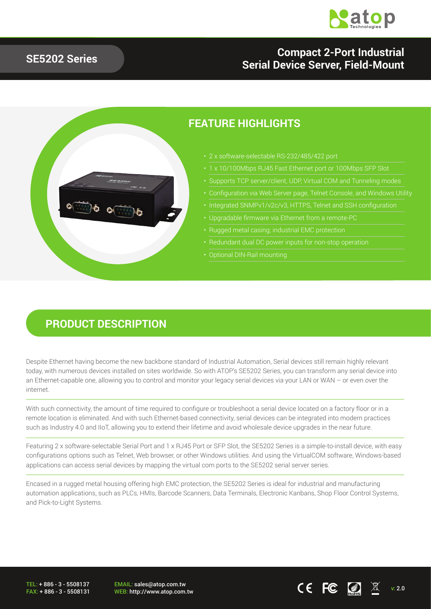

#### **SE5202 Series**

### **Compact 2-Port Industrial Serial Device Server, Field-Mount**



#### **FEATURE HIGHLIGHTS**

- 2 x software-selectable RS-232/485/422 port
- 1 x 10/100Mbps RJ45 Fast Ethernet port or 100Mbps SFP Slot
- 
- Configuration via Web Server page, Telnet Console, and Windows Utility
- 
- Upgradable firmware via Ethernet from a remote-PC
- Rugged metal casing; industrial EMC protection
- 
- 

#### **PRODUCT DESCRIPTION**

Despite Ethernet having become the new backbone standard of Industrial Automation, Serial devices still remain highly relevant today, with numerous devices installed on sites worldwide. So with ATOP's SE5202 Series, you can transform any serial device into an Ethernet-capable one, allowing you to control and monitor your legacy serial devices via your LAN or WAN – or even over the internet.

With such connectivity, the amount of time required to configure or troubleshoot a serial device located on a factory floor or in a remote location is eliminated. And with such Ethernet-based connectivity, serial devices can be integrated into modern practices such as Industry 4.0 and IIoT, allowing you to extend their lifetime and avoid wholesale device upgrades in the near future.

Featuring 2 x software-selectable Serial Port and 1 x RJ45 Port or SFP Slot, the SE5202 Series is a simple-to-install device, with easy configurations options such as Telnet, Web browser, or other Windows utilities. And using the VirtualCOM software, Windows-based applications can access serial devices by mapping the virtual com ports to the SE5202 serial server series.

Encased in a rugged metal housing offering high EMC protection, the SE5202 Series is ideal for industrial and manufacturing automation applications, such as PLCs, HMIs, Barcode Scanners, Data Terminals, Electronic Kanbans, Shop Floor Control Systems, and Pick-to-Light Systems.

TEL: + 886 - 3 - 5508137 FAX: + 886 - 3 - 5508131

EMAIL: sales@atop.com.tw  $\overline{C}$   $\overline{C}$   $\overline{C}$   $\overline{C}$   $\overline{M}$  v: 2.0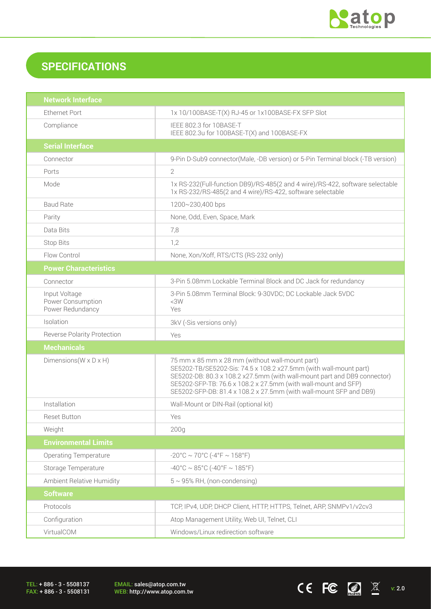

 $CE$  FC  $\boxed{2}$   $\overline{\mathbb{X}}$  v: 2.0

## **SPECIFICATIONS**

| <b>Network Interface</b>                               |                                                                                                                                                                                                                                                                                                                                          |  |
|--------------------------------------------------------|------------------------------------------------------------------------------------------------------------------------------------------------------------------------------------------------------------------------------------------------------------------------------------------------------------------------------------------|--|
| <b>Ethernet Port</b>                                   | 1x 10/100BASE-T(X) RJ-45 or 1x100BASE-FX SFP Slot                                                                                                                                                                                                                                                                                        |  |
| Compliance                                             | IEEE 802.3 for 10BASE-T<br>IEEE 802.3u for 100BASE-T(X) and 100BASE-FX                                                                                                                                                                                                                                                                   |  |
| <b>Serial Interface</b>                                |                                                                                                                                                                                                                                                                                                                                          |  |
| Connector                                              | 9-Pin D-Sub9 connector(Male, -DB version) or 5-Pin Terminal block (-TB version)                                                                                                                                                                                                                                                          |  |
| Ports                                                  | $\overline{2}$                                                                                                                                                                                                                                                                                                                           |  |
| Mode                                                   | 1x RS-232(Full-function DB9)/RS-485(2 and 4 wire)/RS-422, software selectable<br>1x RS-232/RS-485(2 and 4 wire)/RS-422, software selectable                                                                                                                                                                                              |  |
| <b>Baud Rate</b>                                       | 1200~230,400 bps                                                                                                                                                                                                                                                                                                                         |  |
| Parity                                                 | None, Odd, Even, Space, Mark                                                                                                                                                                                                                                                                                                             |  |
| Data Bits                                              | 7,8                                                                                                                                                                                                                                                                                                                                      |  |
| <b>Stop Bits</b>                                       | 1,2                                                                                                                                                                                                                                                                                                                                      |  |
| Flow Control                                           | None, Xon/Xoff, RTS/CTS (RS-232 only)                                                                                                                                                                                                                                                                                                    |  |
| <b>Power Characteristics</b>                           |                                                                                                                                                                                                                                                                                                                                          |  |
| Connector                                              | 3-Pin 5.08mm Lockable Terminal Block and DC Jack for redundancy                                                                                                                                                                                                                                                                          |  |
| Input Voltage<br>Power Consumption<br>Power Redundancy | 3-Pin 5.08mm Terminal Block: 9-30VDC; DC Lockable Jack 5VDC<br><3W<br>Yes                                                                                                                                                                                                                                                                |  |
| Isolation                                              | 3kV (-Sis versions only)                                                                                                                                                                                                                                                                                                                 |  |
| <b>Reverse Polarity Protection</b>                     | Yes                                                                                                                                                                                                                                                                                                                                      |  |
| <b>Mechanicals</b>                                     |                                                                                                                                                                                                                                                                                                                                          |  |
| Dimensions ( $W \times D \times H$ )                   | 75 mm x 85 mm x 28 mm (without wall-mount part)<br>SE5202-TB/SE5202-Sis: 74.5 x 108.2 x27.5mm (with wall-mount part)<br>SE5202-DB: 80.3 x 108.2 x27.5mm (with wall-mount part and DB9 connector)<br>SE5202-SFP-TB: 76.6 x 108.2 x 27.5mm (with wall-mount and SFP)<br>SE5202-SFP-DB: 81.4 x 108.2 x 27.5mm (with wall-mount SFP and DB9) |  |
| Installation                                           | Wall-Mount or DIN-Rail (optional kit)                                                                                                                                                                                                                                                                                                    |  |
| <b>Reset Button</b>                                    | Yes                                                                                                                                                                                                                                                                                                                                      |  |
| Weight                                                 | 200q                                                                                                                                                                                                                                                                                                                                     |  |
| <b>Environmental Limits</b>                            |                                                                                                                                                                                                                                                                                                                                          |  |
| <b>Operating Temperature</b>                           | $-20^{\circ}$ C ~ 70°C (-4°F ~ 158°F)                                                                                                                                                                                                                                                                                                    |  |
| Storage Temperature                                    | $-40^{\circ}$ C ~ 85°C (-40°F ~ 185°F)                                                                                                                                                                                                                                                                                                   |  |
| Ambient Relative Humidity                              | $5 \sim 95\%$ RH, (non-condensing)                                                                                                                                                                                                                                                                                                       |  |
| <b>Software</b>                                        |                                                                                                                                                                                                                                                                                                                                          |  |
| Protocols                                              | TCP, IPv4, UDP, DHCP Client, HTTP, HTTPS, Telnet, ARP, SNMPv1/v2cv3                                                                                                                                                                                                                                                                      |  |
| Configuration                                          | Atop Management Utility, Web UI, Telnet, CLI                                                                                                                                                                                                                                                                                             |  |
| VirtualCOM                                             | Windows/Linux redirection software                                                                                                                                                                                                                                                                                                       |  |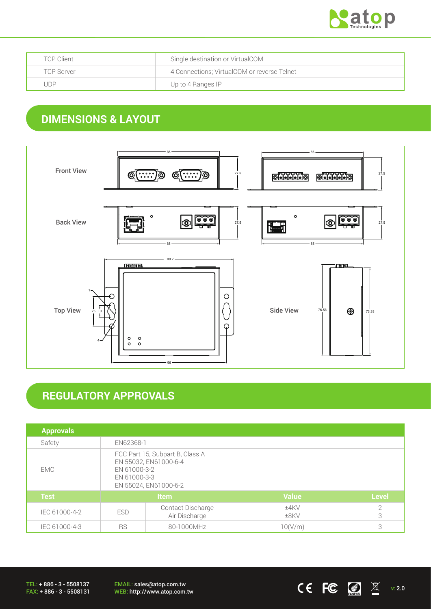

| <b>TCP Client</b> | Single destination or VirtualCOM            |  |
|-------------------|---------------------------------------------|--|
| <b>TCP Server</b> | 4 Connections; VirtualCOM or reverse Telnet |  |
| JDP               | Up to 4 Ranges IP                           |  |

# **DIMENSIONS & LAYOUT**



### **REGULATORY APPROVALS**

| <b>Approvals</b> |                                                                                                                   |                                    |                 |                     |
|------------------|-------------------------------------------------------------------------------------------------------------------|------------------------------------|-----------------|---------------------|
| Safety           | EN62368-1                                                                                                         |                                    |                 |                     |
| <b>EMC</b>       | FCC Part 15, Subpart B, Class A<br>EN 55032, EN61000-6-4<br>EN 61000-3-2<br>EN 61000-3-3<br>EN 55024, EN61000-6-2 |                                    |                 |                     |
| <b>Test</b>      | <b>Item</b>                                                                                                       |                                    | <b>Value</b>    | <b>Level</b>        |
| IEC 61000-4-2    | <b>ESD</b>                                                                                                        | Contact Discharge<br>Air Discharge | $±4$ KV<br>±8KV | $\overline{2}$<br>3 |
| IEC 61000-4-3    | <b>RS</b><br>80-1000MHz                                                                                           |                                    | 10(V/m)         | 3                   |